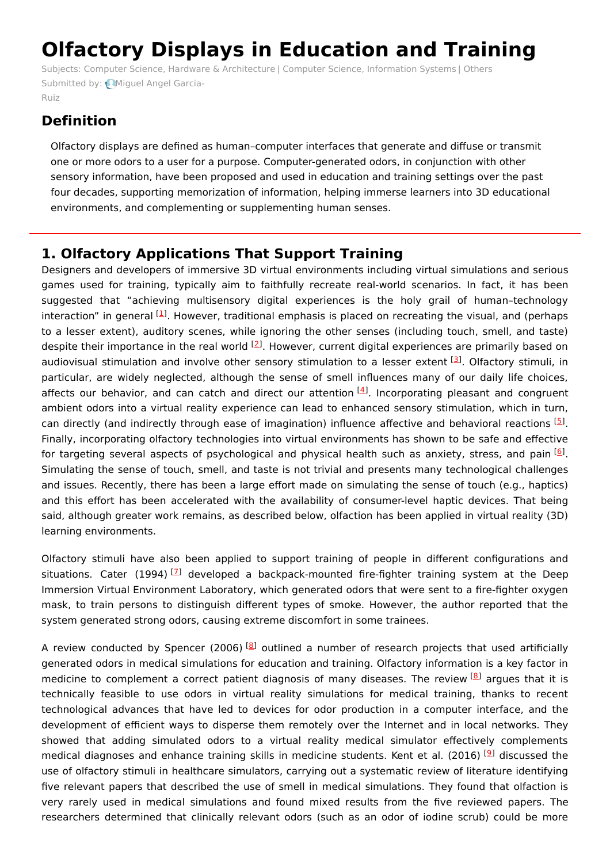# **Olfactory Displays in Education and Training**

Subjects: Computer Science, Hardware & [Architecture](https://encyclopedia.pub/item/subject/241) | Computer Science, [Information](https://encyclopedia.pub/item/subject/99) Systems | [Others](https://encyclopedia.pub/item/subject/153) [Submitted](https://sciprofiles.com/profile/726317) by: Miquel Angel Garcia-

Ruiz

## **Definition**

Olfactory displays are defined as human–computer interfaces that generate and diffuse or transmit one or more odors to a user for a purpose. Computer-generated odors, in conjunction with other sensory information, have been proposed and used in education and training settings over the past four decades, supporting memorization of information, helping immerse learners into 3D educational environments, and complementing or supplementing human senses.

## **1. Olfactory Applications That Support Training**

Designers and developers of immersive 3D virtual environments including virtual simulations and serious games used for training, typically aim to faithfully recreate real-world scenarios. In fact, it has been suggested that "achieving multisensory digital experiences is the holy grail of human–technology interaction" in general <sup>[\[1](#page-5-0)]</sup>. However, traditional emphasis is placed on recreating the visual, and (perhaps to a lesser extent), auditory scenes, while ignoring the other senses (including touch, smell, and taste) despite their importance in the real world <sup>[[2](#page-5-1)]</sup>. However, current digital experiences are primarily based on audiovisual stimulation and involve other sensory stimulation to a lesser extent [\[3](#page-5-2)]. Olfactory stimuli, in particular, are widely neglected, although the sense of smell influences many of our daily life choices, affects our behavior, and can catch and direct our attention <sup>[\[4](#page-5-3)]</sup>. Incorporating pleasant and congruent ambient odors into a virtual reality experience can lead to enhanced sensory stimulation, which in turn, can directly (and indirectly through ease of imagination) influence affective and behavioral reactions <sup>[\[5](#page-5-4)]</sup>. Finally, incorporating olfactory technologies into virtual environments has shown to be safe and effective for targeting several aspects of psychological and physical health such as anxiety, stress, and pain  $^{[6]}$  $^{[6]}$  $^{[6]}$ . Simulating the sense of touch, smell, and taste is not trivial and presents many technological challenges and issues. Recently, there has been a large effort made on simulating the sense of touch (e.g., haptics) and this effort has been accelerated with the availability of consumer-level haptic devices. That being said, although greater work remains, as described below, olfaction has been applied in virtual reality (3D) learning environments.

Olfactory stimuli have also been applied to support training of people in different configurations and situations. Cater (1994)<sup>[[7](#page-5-6)]</sup> developed a backpack-mounted fire-fighter training system at the Deep Immersion Virtual Environment Laboratory, which generated odors that were sent to a fire-fighter oxygen mask, to train persons to distinguish different types of smoke. However, the author reported that the system generated strong odors, causing extreme discomfort in some trainees.

A review conducted by Spencer (2006) <sup>[\[8](#page-5-7)]</sup> outlined a number of research projects that used artificially generated odors in medical simulations for education and training. Olfactory information is a key factor in medicine to complement a correct patient diagnosis of many diseases. The review [\[8](#page-5-7)] argues that it is technically feasible to use odors in virtual reality simulations for medical training, thanks to recent technological advances that have led to devices for odor production in a computer interface, and the development of efficient ways to disperse them remotely over the Internet and in local networks. They showed that adding simulated odors to a virtual reality medical simulator effectively complements medical diagnoses and enhance training skills in medicine students. Kent et al. (2016) <sup>[<u>[9](#page-5-8)</u>]</sup> discussed the use of olfactory stimuli in healthcare simulators, carrying out a systematic review of literature identifying five relevant papers that described the use of smell in medical simulations. They found that olfaction is very rarely used in medical simulations and found mixed results from the five reviewed papers. The researchers determined that clinically relevant odors (such as an odor of iodine scrub) could be more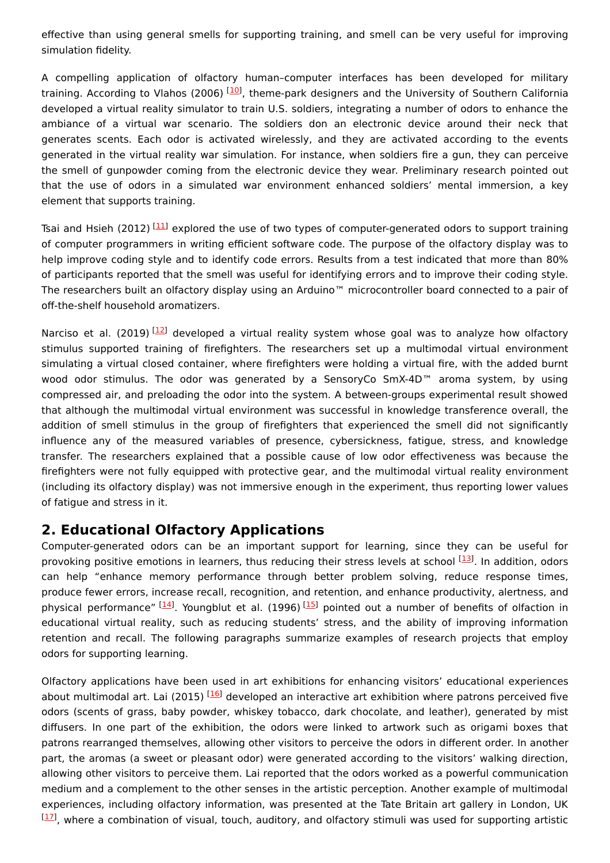effective than using general smells for supporting training, and smell can be very useful for improving simulation fidelity.

A compelling application of olfactory human–computer interfaces has been developed for military training. According to Vlahos (2006) <sup>[[10](#page-5-9)]</sup>, theme-park designers and the University of Southern California developed a virtual reality simulator to train U.S. soldiers, integrating a number of odors to enhance the ambiance of a virtual war scenario. The soldiers don an electronic device around their neck that generates scents. Each odor is activated wirelessly, and they are activated according to the events generated in the virtual reality war simulation. For instance, when soldiers fire a gun, they can perceive the smell of gunpowder coming from the electronic device they wear. Preliminary research pointed out that the use of odors in a simulated war environment enhanced soldiers' mental immersion, a key element that supports training.

Tsai and Hsieh (2012) <sup>[[11](#page-5-10)]</sup> explored the use of two types of computer-generated odors to support training of computer programmers in writing efficient software code. The purpose of the olfactory display was to help improve coding style and to identify code errors. Results from a test indicated that more than 80% of participants reported that the smell was useful for identifying errors and to improve their coding style. The researchers built an olfactory display using an Arduino™ microcontroller board connected to a pair of off-the-shelf household aromatizers.

Narciso et al. (2019) <sup>[[12](#page-5-11)]</sup> developed a virtual reality system whose goal was to analyze how olfactory stimulus supported training of firefighters. The researchers set up a multimodal virtual environment simulating a virtual closed container, where firefighters were holding a virtual fire, with the added burnt wood odor stimulus. The odor was generated by a SensoryCo SmX-4D™ aroma system, by using compressed air, and preloading the odor into the system. A between-groups experimental result showed that although the multimodal virtual environment was successful in knowledge transference overall, the addition of smell stimulus in the group of firefighters that experienced the smell did not significantly influence any of the measured variables of presence, cybersickness, fatigue, stress, and knowledge transfer. The researchers explained that a possible cause of low odor effectiveness was because the firefighters were not fully equipped with protective gear, and the multimodal virtual reality environment (including its olfactory display) was not immersive enough in the experiment, thus reporting lower values of fatigue and stress in it.

#### **2. Educational Olfactory Applications**

Computer-generated odors can be an important support for learning, since they can be useful for provoking positive emotions in learners, thus reducing their stress levels at school [\[13](#page-5-12)]. In addition, odors can help "enhance memory performance through better problem solving, reduce response times, produce fewer errors, increase recall, recognition, and retention, and enhance productivity, alertness, and physical performance" <sup>[[14](#page-5-13)]</sup>. Youngblut et al. (1996) <sup>[\[15\]](#page-5-14)</sup> pointed out a number of benefits of olfaction in educational virtual reality, such as reducing students' stress, and the ability of improving information retention and recall. The following paragraphs summarize examples of research projects that employ odors for supporting learning.

Olfactory applications have been used in art exhibitions for enhancing visitors' educational experiences about multimodal art. Lai (2015) <sup>[[16\]](#page-5-15)</sup> developed an interactive art exhibition where patrons perceived five odors (scents of grass, baby powder, whiskey tobacco, dark chocolate, and leather), generated by mist diffusers. In one part of the exhibition, the odors were linked to artwork such as origami boxes that patrons rearranged themselves, allowing other visitors to perceive the odors in different order. In another part, the aromas (a sweet or pleasant odor) were generated according to the visitors' walking direction, allowing other visitors to perceive them. Lai reported that the odors worked as a powerful communication medium and a complement to the other senses in the artistic perception. Another example of multimodal experiences, including olfactory information, was presented at the Tate Britain art gallery in London, UK  $^{[17]}$  $^{[17]}$  $^{[17]}$ , where a combination of visual, touch, auditory, and olfactory stimuli was used for supporting artistic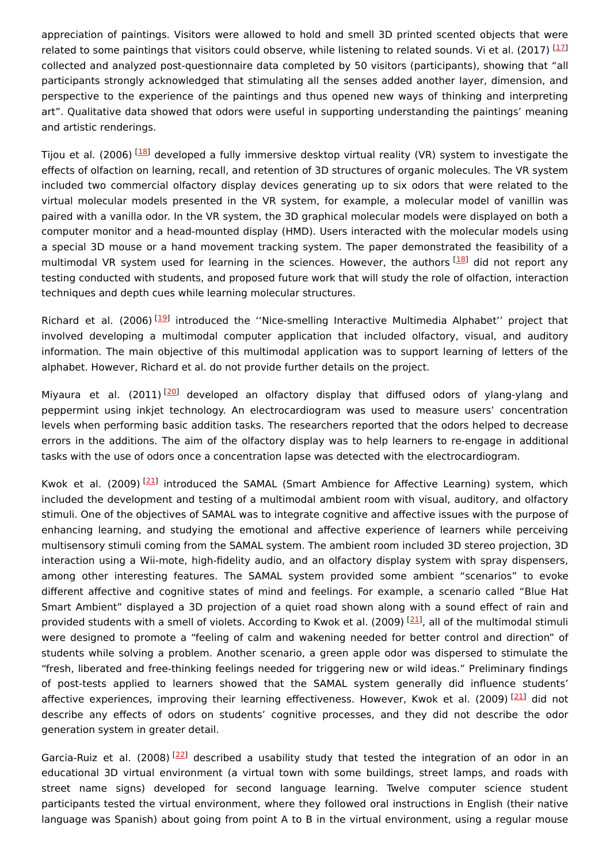appreciation of paintings. Visitors were allowed to hold and smell 3D printed scented objects that were related to some paintings that visitors could observe, while listening to related sounds. Vi et al. (2017) [\[17](#page-5-16)] collected and analyzed post-questionnaire data completed by 50 visitors (participants), showing that "all participants strongly acknowledged that stimulating all the senses added another layer, dimension, and perspective to the experience of the paintings and thus opened new ways of thinking and interpreting art". Qualitative data showed that odors were useful in supporting understanding the paintings' meaning and artistic renderings.

Tijou et al. (2006) <sup>[<u>18</u>] developed a fully immersive desktop virtual reality (VR) system to investigate the</sup> effects of olfaction on learning, recall, and retention of 3D structures of organic molecules. The VR system included two commercial olfactory display devices generating up to six odors that were related to the virtual molecular models presented in the VR system, for example, a molecular model of vanillin was paired with a vanilla odor. In the VR system, the 3D graphical molecular models were displayed on both a computer monitor and a head-mounted display (HMD). Users interacted with the molecular models using a special 3D mouse or a hand movement tracking system. The paper demonstrated the feasibility of a multimodal VR system used for learning in the sciences. However, the authors [[18](#page-5-17)] did not report any testing conducted with students, and proposed future work that will study the role of olfaction, interaction techniques and depth cues while learning molecular structures.

Richard et al. (2006)<sup>[[19\]](#page-5-18)</sup> introduced the "Nice-smelling Interactive Multimedia Alphabet" project that involved developing a multimodal computer application that included olfactory, visual, and auditory information. The main objective of this multimodal application was to support learning of letters of the alphabet. However, Richard et al. do not provide further details on the project.

Miyaura et al. (2011)<sup>[[20\]](#page-5-19)</sup> developed an olfactory display that diffused odors of ylang-ylang and peppermint using inkjet technology. An electrocardiogram was used to measure users' concentration levels when performing basic addition tasks. The researchers reported that the odors helped to decrease errors in the additions. The aim of the olfactory display was to help learners to re-engage in additional tasks with the use of odors once a concentration lapse was detected with the electrocardiogram.

Kwok et al. (2009)<sup>[\[21\]](#page-5-20)</sup> introduced the SAMAL (Smart Ambience for Affective Learning) system, which included the development and testing of a multimodal ambient room with visual, auditory, and olfactory stimuli. One of the objectives of SAMAL was to integrate cognitive and affective issues with the purpose of enhancing learning, and studying the emotional and affective experience of learners while perceiving multisensory stimuli coming from the SAMAL system. The ambient room included 3D stereo projection, 3D interaction using a Wii-mote, high-fidelity audio, and an olfactory display system with spray dispensers, among other interesting features. The SAMAL system provided some ambient "scenarios" to evoke different affective and cognitive states of mind and feelings. For example, a scenario called "Blue Hat Smart Ambient" displayed a 3D projection of a quiet road shown along with a sound effect of rain and provided students with a smell of violets. According to Kwok et al. (2009) <sup>[[21](#page-5-20)]</sup>, all of the multimodal stimuli were designed to promote a "feeling of calm and wakening needed for better control and direction" of students while solving a problem. Another scenario, a green apple odor was dispersed to stimulate the "fresh, liberated and free-thinking feelings needed for triggering new or wild ideas." Preliminary findings of post-tests applied to learners showed that the SAMAL system generally did influence students' affective experiences, improving their learning effectiveness. However, Kwok et al. (2009)<sup>[\[21](#page-5-20)]</sup> did not describe any effects of odors on students' cognitive processes, and they did not describe the odor generation system in greater detail.

Garcia-Ruiz et al. (2008)<sup>[\[22](#page-5-21)]</sup> described a usability study that tested the integration of an odor in an educational 3D virtual environment (a virtual town with some buildings, street lamps, and roads with street name signs) developed for second language learning. Twelve computer science student participants tested the virtual environment, where they followed oral instructions in English (their native language was Spanish) about going from point A to B in the virtual environment, using a regular mouse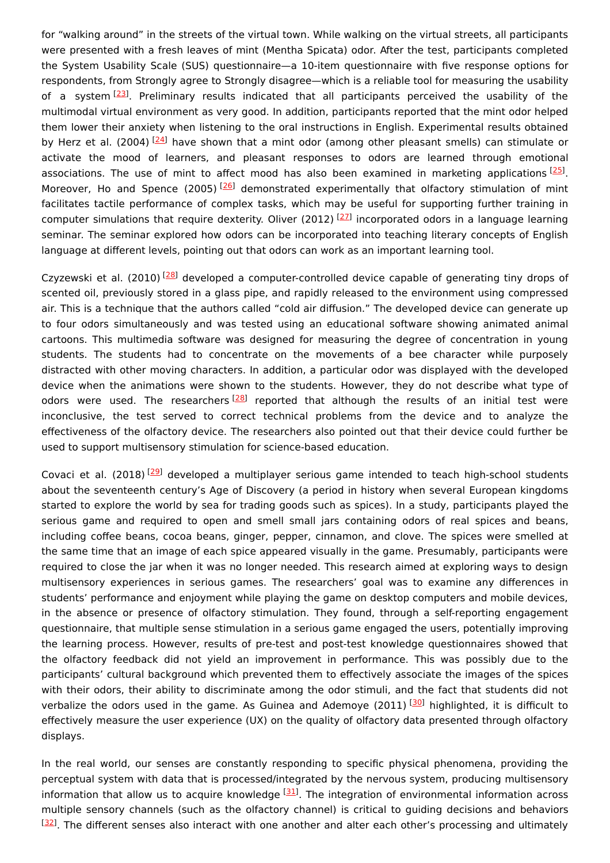for "walking around" in the streets of the virtual town. While walking on the virtual streets, all participants were presented with a fresh leaves of mint (Mentha Spicata) odor. After the test, participants completed the System Usability Scale (SUS) questionnaire—a 10-item questionnaire with five response options for respondents, from Strongly agree to Strongly disagree—which is a reliable tool for measuring the usability of a system<sup>[\[23](#page-5-22)]</sup>. Preliminary results indicated that all participants perceived the usability of the multimodal virtual environment as very good. In addition, participants reported that the mint odor helped them lower their anxiety when listening to the oral instructions in English. Experimental results obtained by Herz et al. (2004) <sup>[[24](#page-5-23)]</sup> have shown that a mint odor (among other pleasant smells) can stimulate or activate the mood of learners, and pleasant responses to odors are learned through emotional associations. The use of mint to affect mood has also been examined in marketing applications [\[25](#page-5-24)]. Moreover, Ho and Spence (2005)<sup>[[26](#page-5-25)]</sup> demonstrated experimentally that olfactory stimulation of mint facilitates tactile performance of complex tasks, which may be useful for supporting further training in computer simulations that require dexterity. Oliver (2012) <sup>[[27](#page-6-0)]</sup> incorporated odors in a language learning seminar. The seminar explored how odors can be incorporated into teaching literary concepts of English language at different levels, pointing out that odors can work as an important learning tool.

Czyzewski et al. (2010) <sup>[\[28](#page-6-1)]</sup> developed a computer-controlled device capable of generating tiny drops of scented oil, previously stored in a glass pipe, and rapidly released to the environment using compressed air. This is a technique that the authors called "cold air diffusion." The developed device can generate up to four odors simultaneously and was tested using an educational software showing animated animal cartoons. This multimedia software was designed for measuring the degree of concentration in young students. The students had to concentrate on the movements of a bee character while purposely distracted with other moving characters. In addition, a particular odor was displayed with the developed device when the animations were shown to the students. However, they do not describe what type of odors were used. The researchers<sup>[[28](#page-6-1)]</sup> reported that although the results of an initial test were inconclusive, the test served to correct technical problems from the device and to analyze the effectiveness of the olfactory device. The researchers also pointed out that their device could further be used to support multisensory stimulation for science-based education.

Covaci et al. (2018)<sup>[\[29](#page-6-2)]</sup> developed a multiplayer serious game intended to teach high-school students about the seventeenth century's Age of Discovery (a period in history when several European kingdoms started to explore the world by sea for trading goods such as spices). In a study, participants played the serious game and required to open and smell small jars containing odors of real spices and beans, including coffee beans, cocoa beans, ginger, pepper, cinnamon, and clove. The spices were smelled at the same time that an image of each spice appeared visually in the game. Presumably, participants were required to close the jar when it was no longer needed. This research aimed at exploring ways to design multisensory experiences in serious games. The researchers' goal was to examine any differences in students' performance and enjoyment while playing the game on desktop computers and mobile devices, in the absence or presence of olfactory stimulation. They found, through a self-reporting engagement questionnaire, that multiple sense stimulation in a serious game engaged the users, potentially improving the learning process. However, results of pre-test and post-test knowledge questionnaires showed that the olfactory feedback did not yield an improvement in performance. This was possibly due to the participants' cultural background which prevented them to effectively associate the images of the spices with their odors, their ability to discriminate among the odor stimuli, and the fact that students did not verbalize the odors used in the game. As Guinea and Ademoye (2011) <sup>[\[30](#page-6-3)]</sup> highlighted, it is difficult to effectively measure the user experience (UX) on the quality of olfactory data presented through olfactory displays.

In the real world, our senses are constantly responding to specific physical phenomena, providing the perceptual system with data that is processed/integrated by the nervous system, producing multisensory information that allow us to acquire knowledge <a>[\[31](#page-6-4)]</a>. The integration of environmental information across multiple sensory channels (such as the olfactory channel) is critical to guiding decisions and behaviors  $[32]$  $[32]$  $[32]$ . The different senses also interact with one another and alter each other's processing and ultimately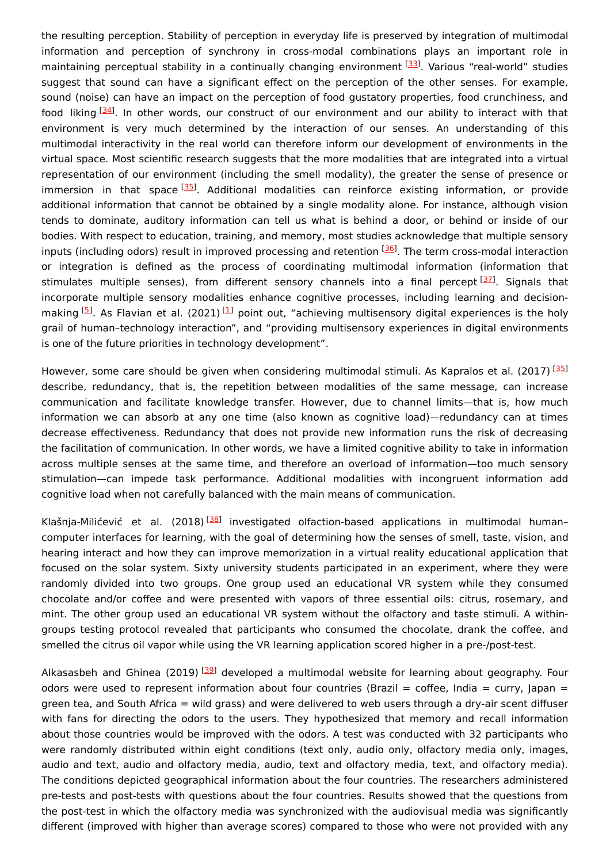the resulting perception. Stability of perception in everyday life is preserved by integration of multimodal information and perception of synchrony in cross-modal combinations plays an important role in maintaining perceptual stability in a continually changing environment [[33](#page-6-6)]. Various "real-world" studies suggest that sound can have a significant effect on the perception of the other senses. For example, sound (noise) can have an impact on the perception of food gustatory properties, food crunchiness, and food liking [[34\]](#page-6-7). In other words, our construct of our environment and our ability to interact with that environment is very much determined by the interaction of our senses. An understanding of this multimodal interactivity in the real world can therefore inform our development of environments in the virtual space. Most scientific research suggests that the more modalities that are integrated into a virtual representation of our environment (including the smell modality), the greater the sense of presence or immersion in that space<sup>[\[35](#page-6-8)]</sup>. Additional modalities can reinforce existing information, or provide additional information that cannot be obtained by a single modality alone. For instance, although vision tends to dominate, auditory information can tell us what is behind a door, or behind or inside of our bodies. With respect to education, training, and memory, most studies acknowledge that multiple sensory inputs (including odors) result in improved processing and retention <sup>[\[36](#page-6-9)]</sup>. The term cross-modal interaction or integration is defined as the process of coordinating multimodal information (information that stimulates multiple senses), from different sensory channels into a final percept <a>[\[37](#page-6-10)]</a>. Signals that incorporate multiple sensory modalities enhance cognitive processes, including learning and decision-making <sup>[\[5](#page-5-4)]</sup>. As Flavian et al. (202[1](#page-5-0)) <sup>[1]</sup> point out, "achieving multisensory digital experiences is the holy grail of human–technology interaction", and "providing multisensory experiences in digital environments is one of the future priorities in technology development".

However, some care should be given when considering multimodal stimuli. As Kapralos et al. (2017) [\[35](#page-6-8)] describe, redundancy, that is, the repetition between modalities of the same message, can increase communication and facilitate knowledge transfer. However, due to channel limits—that is, how much information we can absorb at any one time (also known as cognitive load)—redundancy can at times decrease effectiveness. Redundancy that does not provide new information runs the risk of decreasing the facilitation of communication. In other words, we have a limited cognitive ability to take in information across multiple senses at the same time, and therefore an overload of information—too much sensory stimulation—can impede task performance. Additional modalities with incongruent information add cognitive load when not carefully balanced with the main means of communication.

Klašnja-Milićević et al. (2018)<sup>[\[38](#page-6-11)]</sup> investigated olfaction-based applications in multimodal humancomputer interfaces for learning, with the goal of determining how the senses of smell, taste, vision, and hearing interact and how they can improve memorization in a virtual reality educational application that focused on the solar system. Sixty university students participated in an experiment, where they were randomly divided into two groups. One group used an educational VR system while they consumed chocolate and/or coffee and were presented with vapors of three essential oils: citrus, rosemary, and mint. The other group used an educational VR system without the olfactory and taste stimuli. A withingroups testing protocol revealed that participants who consumed the chocolate, drank the coffee, and smelled the citrus oil vapor while using the VR learning application scored higher in a pre-/post-test.

Alkasasbeh and Ghinea (2019) [[39](#page-6-12)] developed a multimodal website for learning about geography. Four odors were used to represent information about four countries (Brazil = coffee, India = curry, Japan = green tea, and South Africa = wild grass) and were delivered to web users through a dry-air scent diffuser with fans for directing the odors to the users. They hypothesized that memory and recall information about those countries would be improved with the odors. A test was conducted with 32 participants who were randomly distributed within eight conditions (text only, audio only, olfactory media only, images, audio and text, audio and olfactory media, audio, text and olfactory media, text, and olfactory media). The conditions depicted geographical information about the four countries. The researchers administered pre-tests and post-tests with questions about the four countries. Results showed that the questions from the post-test in which the olfactory media was synchronized with the audiovisual media was significantly different (improved with higher than average scores) compared to those who were not provided with any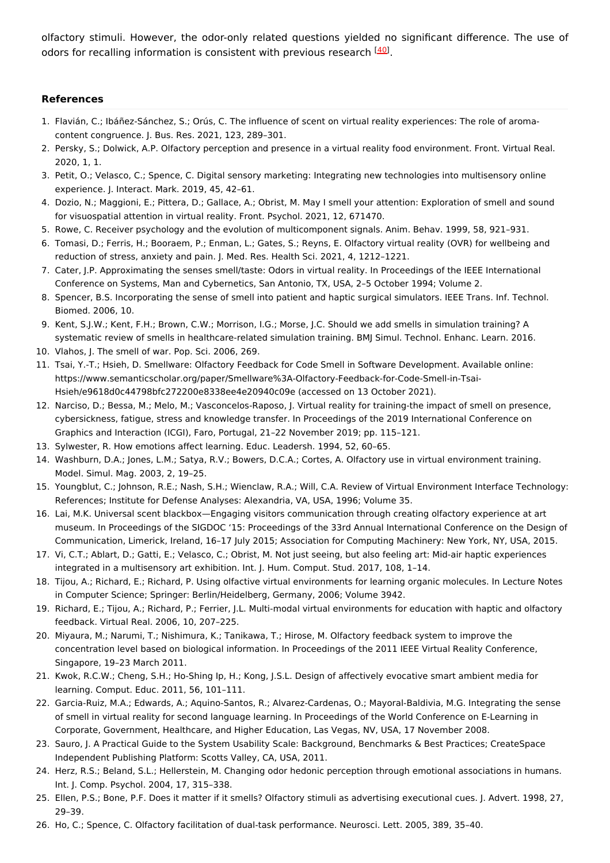olfactory stimuli. However, the odor-only related questions yielded no significant difference. The use of odors for recalling information is consistent with previous research [[40](#page-6-13)].

#### **References**

- <span id="page-5-0"></span>1. Flavián, C.; Ibáñez-Sánchez, S.; Orús, C. The influence of scent on virtual reality experiences: The role of aromacontent congruence. J. Bus. Res. 2021, 123, 289–301.
- <span id="page-5-1"></span>2. Persky, S.; Dolwick, A.P. Olfactory perception and presence in a virtual reality food environment. Front. Virtual Real. 2020, 1, 1.
- <span id="page-5-2"></span>3. Petit, O.; Velasco, C.; Spence, C. Digital sensory marketing: Integrating new technologies into multisensory online experience. J. Interact. Mark. 2019, 45, 42–61.
- <span id="page-5-3"></span>4. Dozio, N.; Maggioni, E.; Pittera, D.; Gallace, A.; Obrist, M. May I smell your attention: Exploration of smell and sound for visuospatial attention in virtual reality. Front. Psychol. 2021, 12, 671470.
- <span id="page-5-4"></span>5. Rowe, C. Receiver psychology and the evolution of multicomponent signals. Anim. Behav. 1999, 58, 921–931.
- <span id="page-5-5"></span>6. Tomasi, D.; Ferris, H.; Booraem, P.; Enman, L.; Gates, S.; Reyns, E. Olfactory virtual reality (OVR) for wellbeing and reduction of stress, anxiety and pain. J. Med. Res. Health Sci. 2021, 4, 1212–1221.
- <span id="page-5-6"></span>7. Cater, J.P. Approximating the senses smell/taste: Odors in virtual reality. In Proceedings of the IEEE International Conference on Systems, Man and Cybernetics, San Antonio, TX, USA, 2–5 October 1994; Volume 2.
- <span id="page-5-7"></span>8. Spencer, B.S. Incorporating the sense of smell into patient and haptic surgical simulators. IEEE Trans. Inf. Technol. Biomed. 2006, 10.
- <span id="page-5-8"></span>9. Kent, S.J.W.; Kent, F.H.; Brown, C.W.; Morrison, I.G.; Morse, J.C. Should we add smells in simulation training? A systematic review of smells in healthcare-related simulation training. BMJ Simul. Technol. Enhanc. Learn. 2016.
- <span id="page-5-9"></span>10. Vlahos, J. The smell of war. Pop. Sci. 2006, 269.
- <span id="page-5-10"></span>11. Tsai, Y.-T.; Hsieh, D. Smellware: Olfactory Feedback for Code Smell in Software Development. Available online: https://www.semanticscholar.org/paper/Smellware%3A-Olfactory-Feedback-for-Code-Smell-in-Tsai-Hsieh/e9618d0c44798bfc272200e8338ee4e20940c09e (accessed on 13 October 2021).
- <span id="page-5-11"></span>12. Narciso, D.; Bessa, M.; Melo, M.; Vasconcelos-Raposo, J. Virtual reality for training-the impact of smell on presence, cybersickness, fatigue, stress and knowledge transfer. In Proceedings of the 2019 International Conference on Graphics and Interaction (ICGI), Faro, Portugal, 21–22 November 2019; pp. 115–121.
- <span id="page-5-12"></span>13. Sylwester, R. How emotions affect learning. Educ. Leadersh. 1994, 52, 60–65.
- <span id="page-5-13"></span>14. Washburn, D.A.; Jones, L.M.; Satya, R.V.; Bowers, D.C.A.; Cortes, A. Olfactory use in virtual environment training. Model. Simul. Mag. 2003, 2, 19–25.
- <span id="page-5-14"></span>15. Youngblut, C.; Johnson, R.E.; Nash, S.H.; Wienclaw, R.A.; Will, C.A. Review of Virtual Environment Interface Technology: References; Institute for Defense Analyses: Alexandria, VA, USA, 1996; Volume 35.
- <span id="page-5-15"></span>16. Lai, M.K. Universal scent blackbox—Engaging visitors communication through creating olfactory experience at art museum. In Proceedings of the SIGDOC '15: Proceedings of the 33rd Annual International Conference on the Design of Communication, Limerick, Ireland, 16–17 July 2015; Association for Computing Machinery: New York, NY, USA, 2015.
- <span id="page-5-16"></span>17. Vi, C.T.; Ablart, D.; Gatti, E.; Velasco, C.; Obrist, M. Not just seeing, but also feeling art: Mid-air haptic experiences integrated in a multisensory art exhibition. Int. J. Hum. Comput. Stud. 2017, 108, 1–14.
- <span id="page-5-17"></span>18. Tijou, A.; Richard, E.; Richard, P. Using olfactive virtual environments for learning organic molecules. In Lecture Notes in Computer Science; Springer: Berlin/Heidelberg, Germany, 2006; Volume 3942.
- <span id="page-5-18"></span>19. Richard, E.; Tijou, A.; Richard, P.; Ferrier, J.L. Multi-modal virtual environments for education with haptic and olfactory feedback. Virtual Real. 2006, 10, 207–225.
- <span id="page-5-19"></span>20. Miyaura, M.; Narumi, T.; Nishimura, K.; Tanikawa, T.; Hirose, M. Olfactory feedback system to improve the concentration level based on biological information. In Proceedings of the 2011 IEEE Virtual Reality Conference, Singapore, 19–23 March 2011.
- <span id="page-5-20"></span>21. Kwok, R.C.W.; Cheng, S.H.; Ho-Shing Ip, H.; Kong, J.S.L. Design of affectively evocative smart ambient media for learning. Comput. Educ. 2011, 56, 101–111.
- <span id="page-5-21"></span>22. Garcia-Ruiz, M.A.; Edwards, A.; Aquino-Santos, R.; Alvarez-Cardenas, O.; Mayoral-Baldivia, M.G. Integrating the sense of smell in virtual reality for second language learning. In Proceedings of the World Conference on E-Learning in Corporate, Government, Healthcare, and Higher Education, Las Vegas, NV, USA, 17 November 2008.
- <span id="page-5-22"></span>23. Sauro, J. A Practical Guide to the System Usability Scale: Background, Benchmarks & Best Practices; CreateSpace Independent Publishing Platform: Scotts Valley, CA, USA, 2011.
- <span id="page-5-23"></span>24. Herz, R.S.; Beland, S.L.; Hellerstein, M. Changing odor hedonic perception through emotional associations in humans. Int. J. Comp. Psychol. 2004, 17, 315–338.
- <span id="page-5-24"></span>25. Ellen, P.S.; Bone, P.F. Does it matter if it smells? Olfactory stimuli as advertising executional cues. J. Advert. 1998, 27, 29–39.
- <span id="page-5-25"></span>26. Ho, C.; Spence, C. Olfactory facilitation of dual-task performance. Neurosci. Lett. 2005, 389, 35–40.